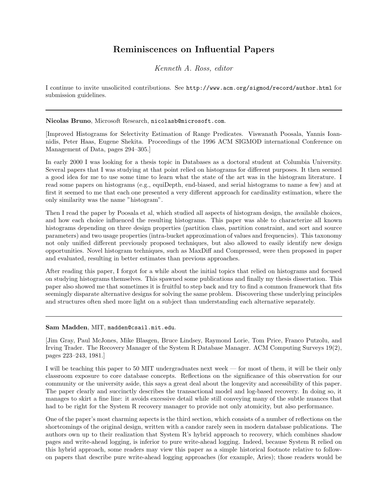## Reminiscences on Influential Papers

Kenneth A. Ross, editor

I continue to invite unsolicited contributions. See http://www.acm.org/sigmod/record/author.html for submission guidelines.

Nicolas Bruno, Microsoft Research, nicolasb@microsoft.com.

[Improved Histograms for Selectivity Estimation of Range Predicates. Viswanath Poosala, Yannis Ioannidis, Peter Haas, Eugene Shekita. Proceedings of the 1996 ACM SIGMOD international Conference on Management of Data, pages 294–305.]

In early 2000 I was looking for a thesis topic in Databases as a doctoral student at Columbia University. Several papers that I was studying at that point relied on histograms for different purposes. It then seemed a good idea for me to use some time to learn what the state of the art was in the histogram literature. I read some papers on histograms (e.g., equiDepth, end-biased, and serial histograms to name a few) and at first it seemed to me that each one presented a very different approach for cardinality estimation, where the only similarity was the name "histogram".

Then I read the paper by Poosala et al, which studied all aspects of histogram design, the available choices, and how each choice influenced the resulting histograms. This paper was able to characterize all known histograms depending on three design properties (partition class, partition constraint, and sort and source parameters) and two usage properties (intra-bucket approximation of values and frequencies). This taxonomy not only unified different previously proposed techniques, but also allowed to easily identify new design opportunities. Novel histogram techniques, such as MaxDiff and Compressed, were then proposed in paper and evaluated, resulting in better estimates than previous approaches.

After reading this paper, I forgot for a while about the initial topics that relied on histograms and focused on studying histograms themselves. This spawned some publications and finally my thesis dissertation. This paper also showed me that sometimes it is fruitful to step back and try to find a common framework that fits seemingly disparate alternative designs for solving the same problem. Discovering these underlying principles and structures often shed more light on a subject than understanding each alternative separately.

Sam Madden, MIT, madden@csail.mit.edu.

[Jim Gray, Paul McJones, Mike Blasgen, Bruce Lindsey, Raymond Lorie, Tom Price, Franco Putzolu, and Irving Trader. The Recovery Manager of the System R Database Manager. ACM Computing Surveys 19(2), pages 223–243, 1981.]

I will be teaching this paper to 50 MIT undergraduates next week — for most of them, it will be their only classroom exposure to core database concepts. Reflections on the significance of this observation for our community or the university aside, this says a great deal about the longevity and accessibility of this paper. The paper clearly and succinctly describes the transactional model and log-based recovery. In doing so, it manages to skirt a fine line: it avoids excessive detail while still conveying many of the subtle nuances that had to be right for the System R recovery manager to provide not only atomicity, but also performance.

One of the paper's most charming aspects is the third section, which consists of a number of reflections on the shortcomings of the original design, written with a candor rarely seen in modern database publications. The authors own up to their realization that System R's hybrid approach to recovery, which combines shadow pages and write-ahead logging, is inferior to pure write-ahead logging. Indeed, because System R relied on this hybrid approach, some readers may view this paper as a simple historical footnote relative to followon papers that describe pure write-ahead logging approaches (for example, Aries); those readers would be